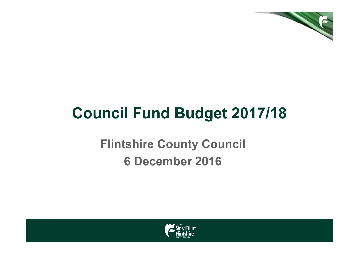

# Council Fund Budget 2017/18

### Flintshire County Council6 December 2016

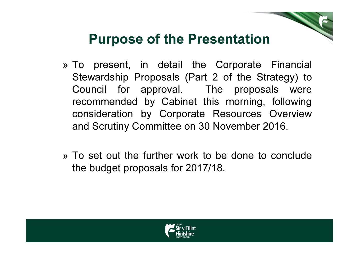### Purpose of the Presentation

- » To present, in detail the Corporate Financial Stewardship Proposals (Part 2 of the Strategy) to Council for approval. The proposals were recommended by Cabinet this morning, following consideration by Corporate Resources Overview and Scrutiny Committee on 30 November 2016.
- » To set out the further work to be done to conclude the budget proposals for 2017/18.

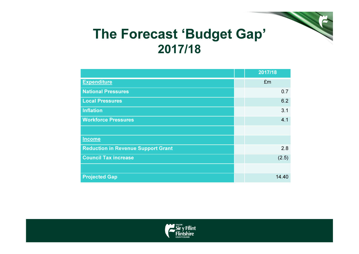#### The Forecast 'Budget Gap'2017/18

|                                           | 2017/18 |
|-------------------------------------------|---------|
| <b>Expenditure</b>                        | £m      |
| <b>National Pressures</b>                 | 0.7     |
| <b>Local Pressures</b>                    | 6.2     |
| <b>Inflation</b>                          | 3.1     |
| <b>Workforce Pressures</b>                | 4.1     |
|                                           |         |
| <b>Income</b>                             |         |
| <b>Reduction in Revenue Support Grant</b> | 2.8     |
| <b>Council Tax increase</b>               | (2.5)   |
|                                           |         |
| <b>Projected Gap</b>                      | 14.40   |

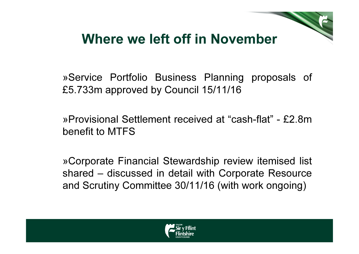#### Where we left off in November

»Service Portfolio Business Planning proposals of £5.733m approved by Council 15/11/16

»Provisional Settlement received at "cash-flat" - £2.8m benefit to MTFS

»Corporate Financial Stewardship review itemised list shared – discussed in detail with Corporate Resource and Scrutiny Committee 30/11/16 (with work ongoing)

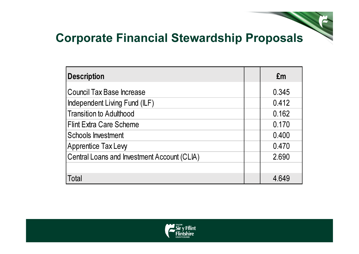#### Corporate Financial Stewardship Proposals

| <b>Description</b>                          | £m    |
|---------------------------------------------|-------|
| Council Tax Base Increase                   | 0.345 |
| Independent Living Fund (ILF)               | 0.412 |
| <b>Transition to Adulthood</b>              | 0.162 |
| <b>IFlint Extra Care Scheme</b>             | 0.170 |
| <b>Schools Investment</b>                   | 0.400 |
| <b>Apprentice Tax Levy</b>                  | 0.470 |
| Central Loans and Investment Account (CLIA) | 2.690 |
|                                             |       |
| Total                                       | 4.649 |

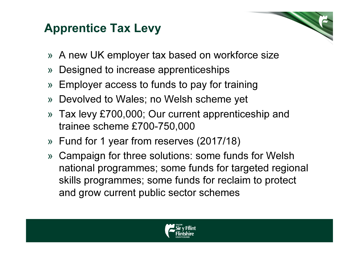#### Apprentice Tax Levy

- » A new UK employer tax based on workforce size
- »Designed to increase apprenticeships
- »Employer access to funds to pay for training
- » Devolved to Wales; no Welsh scheme yet
- » Tax levy £700,000; Our current apprenticeship and trainee scheme £700-750,000
- » Fund for 1 year from reserves (2017/18)
- » Campaign for three solutions: some funds for Welsh national programmes; some funds for targeted regional skills programmes; some funds for reclaim to protect and grow current public sector schemes

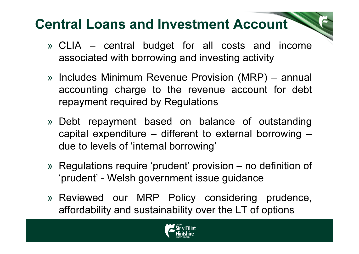- » CLIA central budget for all costs and income associated with borrowing and investing activity
- » Includes Minimum Revenue Provision (MRP) annual accounting charge to the revenue account for debt repayment required by Regulations
- » Debt repayment based on balance of outstanding capital expenditure – different to external borrowing –due to levels of 'internal borrowing'
- » Regulations require 'prudent' provision no definition of 'prudent' - Welsh government issue guidance
- » Reviewed our MRP Policy considering prudence, affordability and sustainability over the LT of options

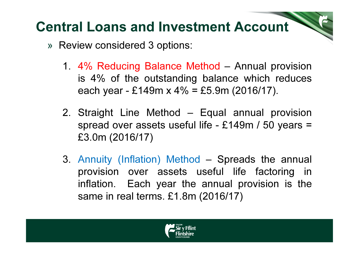- » Review considered 3 options:
	- 1. 4% Reducing Balance Method Annual provision is 4% of the outstanding balance which reduces each year - £149m x  $4\%$  = £5.9m (2016/17).
	- 2. Straight Line Method Equal annual provision spread over assets useful life - £149m / 50 years = £3.0m (2016/17)
	- 3. Annuity (Inflation) Method Spreads the annual provision over assets useful life factoring in inflation. Each year the annual provision is the same in real terms. £1.8m (2016/17)

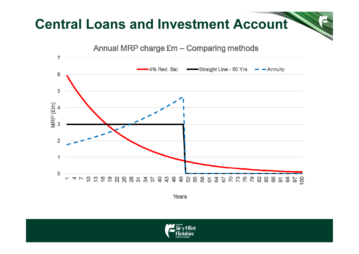

Years

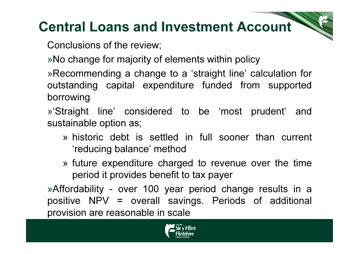Conclusions of the review;

»No change for majority of elements within policy

»Recommending a change to a 'straight line' calculation for outstanding capital expenditure funded from supported borrowing

»'Straight line' considered to be 'most prudent' and sustainable option as;

- » historic debt is settled in full sooner than current 'reducing balance' method
- » future expenditure charged to revenue over the time period it provides benefit to tax payer

»Affordability - over 100 year period change results in a positive NPV = overall savings. Periods of additional provision are reasonable in scale

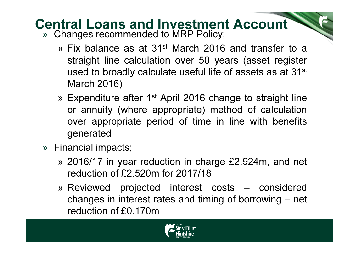- » Changes recommended to MRP Policy;
	- » Fix balance as at 31<sup>st</sup> March 2016 and transfer to a straight line calculation over 50 years (asset registerused to broadly calculate useful life of assets as at 31st March 2016)
	- » Expenditure after 1<sup>st</sup> April 2016 change to straight line or annuity (where appropriate) method of calculation over appropriate period of time in line with benefits generated
- » Financial impacts;
	- » 2016/17 in year reduction in charge £2.924m, and net reduction of £2.520m for 2017/18
	- » Reviewed projected interest costs considered changes in interest rates and timing of borrowing – net reduction of £0.170m

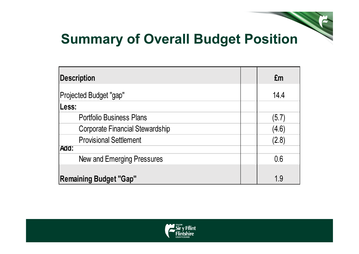### Summary of Overall Budget Position

| <b>Description</b>                     | £m    |
|----------------------------------------|-------|
| Projected Budget "gap"                 | 14.4  |
| Less:                                  |       |
| <b>Portfolio Business Plans</b>        | (5.7) |
| <b>Corporate Financial Stewardship</b> | (4.6) |
| <b>Provisional Settlement</b>          | (2.8) |
| Add:                                   |       |
| New and Emerging Pressures             | 0.6   |
|                                        |       |
| <b>Remaining Budget "Gap"</b>          | 1.9   |

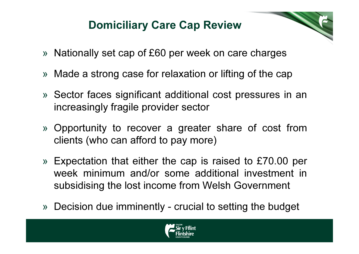#### Domiciliary Care Cap Review

- » Nationally set cap of £60 per week on care charges
- » Made a strong case for relaxation or lifting of the cap
- » Sector faces significant additional cost pressures in an increasingly fragile provider sector
- » Opportunity to recover a greater share of cost from clients (who can afford to pay more)
- » Expectation that either the cap is raised to £70.00 per week minimum and/or some additional investment in subsidising the lost income from Welsh Government
- » Decision due imminently crucial to setting the budget

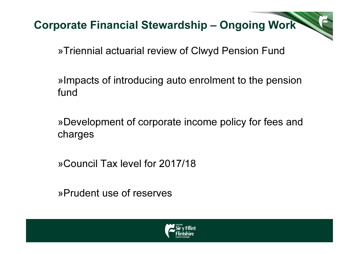Corporate Financial Stewardship – Ongoing Work

»Triennial actuarial review of Clwyd Pension Fund

»Impacts of introducing auto enrolment to the pension fund

»Development of corporate income policy for fees and charges

»Council Tax level for 2017/18

»Prudent use of reserves